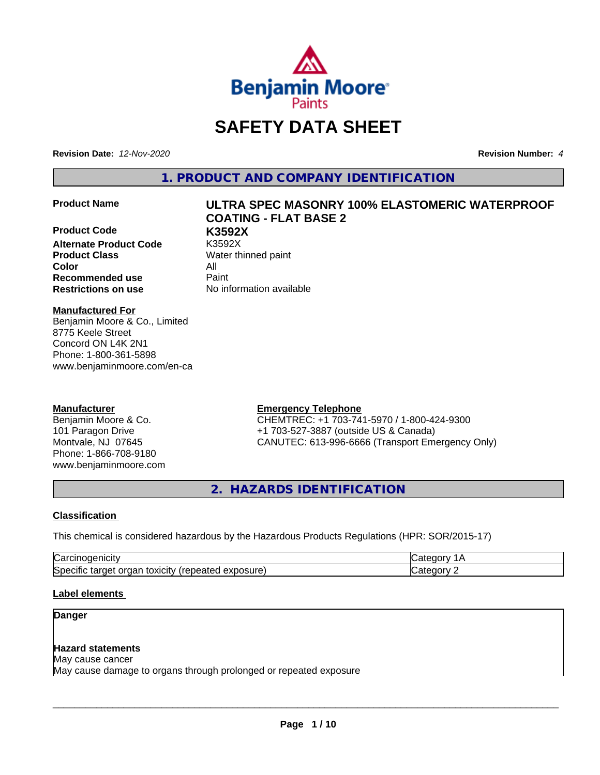

# **SAFETY DATA SHEET**

**Revision Date:** *12-Nov-2020* **Revision Number:** *4*

**1. PRODUCT AND COMPANY IDENTIFICATION**

**Product Code K3592X Alternate Product Code Product Class** Water thinned paint **Color** All **Recommended use** Paint **Restrictions on use** No information available

# **Product Name ULTRA SPEC MASONRY 100% ELASTOMERIC WATERPROOF COATING - FLAT BASE 2**

**Manufactured For**

Benjamin Moore & Co., Limited 8775 Keele Street Concord ON L4K 2N1 Phone: 1-800-361-5898 www.benjaminmoore.com/en-ca

# **Manufacturer**

Benjamin Moore & Co. 101 Paragon Drive Montvale, NJ 07645 Phone: 1-866-708-9180 www.benjaminmoore.com

# **Emergency Telephone**

CHEMTREC: +1 703-741-5970 / 1-800-424-9300 +1 703-527-3887 (outside US & Canada) CANUTEC: 613-996-6666 (Transport Emergency Only)

**2. HAZARDS IDENTIFICATION**

#### **Classification**

This chemical is considered hazardous by the Hazardous Products Regulations (HPR: SOR/2015-17)

| r                                                                                                         |        |
|-----------------------------------------------------------------------------------------------------------|--------|
| $\cdot$ .<br>ו⊂ו<br>.<br>$+0.2101$<br>exposure<br>.ar<br>orc<br>ים.<br>يم<br>udl'<br>∵anc<br>स्तास<br>, , | -- - - |

# **Label elements**

### **Danger**

# **Hazard statements**

May cause cancer May cause damage to organs through prolonged or repeated exposure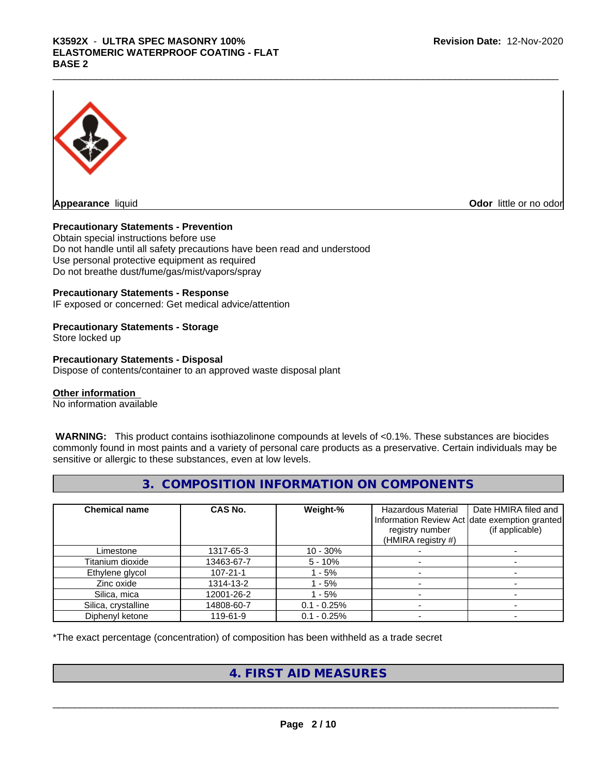# K3592X - ULTRA SPEC MASONRY 100%<br>ELASTOMERIC WATERPROOF COATING - FLAT<br>BASE 2 **ELASTOMERIC WATERPROOF COATING - FLAT BASE 2**



**Appearance** liquid **Odor 11 Construction Odor 11 Construction Odor 11 Construction Odor little or no odor** 

### **Precautionary Statements - Prevention**

Obtain special instructions before use Do not handle until all safety precautions have been read and understood Use personal protective equipment as required Do not breathe dust/fume/gas/mist/vapors/spray

#### **Precautionary Statements - Response**

IF exposed or concerned: Get medical advice/attention

# **Precautionary Statements - Storage**

Store locked up

#### **Precautionary Statements - Disposal**

Dispose of contents/container to an approved waste disposal plant

### **Other information**

No information available

 **WARNING:** This product contains isothiazolinone compounds at levels of <0.1%. These substances are biocides commonly found in most paints and a variety of personal care products as a preservative. Certain individuals may be sensitive or allergic to these substances, even at low levels.

# **3. COMPOSITION INFORMATION ON COMPONENTS**

| <b>Chemical name</b> | CAS No.        | Weight-%      | Hazardous Material<br>registry number<br>(HMIRA registry #) | Date HMIRA filed and<br>Information Review Act date exemption granted<br>(if applicable) |
|----------------------|----------------|---------------|-------------------------------------------------------------|------------------------------------------------------------------------------------------|
| Limestone            | 1317-65-3      | $10 - 30%$    |                                                             |                                                                                          |
| Titanium dioxide     | 13463-67-7     | $5 - 10%$     |                                                             |                                                                                          |
| Ethylene glycol      | $107 - 21 - 1$ | - 5%          |                                                             |                                                                                          |
| Zinc oxide           | 1314-13-2      | $-5%$         |                                                             |                                                                                          |
| Silica, mica         | 12001-26-2     | - 5%          |                                                             |                                                                                          |
| Silica, crystalline  | 14808-60-7     | $0.1 - 0.25%$ |                                                             |                                                                                          |
| Diphenyl ketone      | 119-61-9       | $0.1 - 0.25%$ |                                                             |                                                                                          |

\*The exact percentage (concentration) of composition has been withheld as a trade secret

# **4. FIRST AID MEASURES**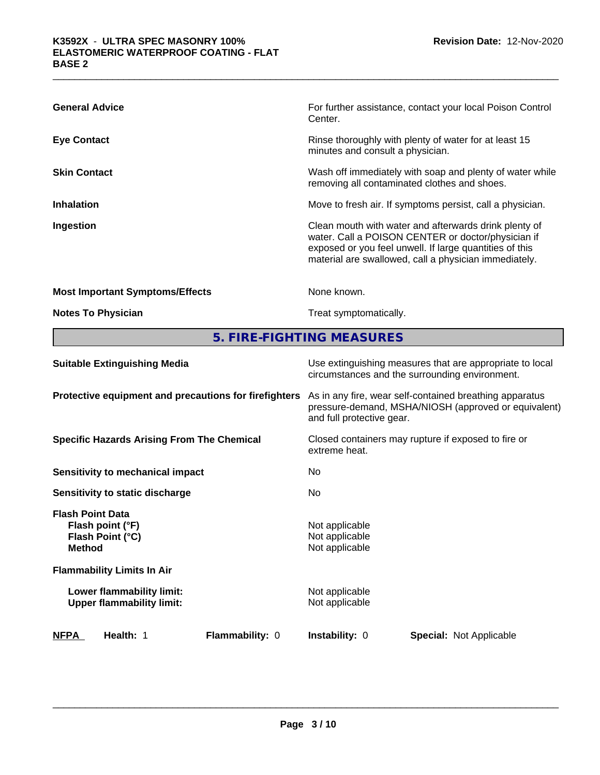| <b>General Advice</b>                  | For further assistance, contact your local Poison Control<br>Center.                                                                                                                                                            |
|----------------------------------------|---------------------------------------------------------------------------------------------------------------------------------------------------------------------------------------------------------------------------------|
| <b>Eye Contact</b>                     | Rinse thoroughly with plenty of water for at least 15<br>minutes and consult a physician.                                                                                                                                       |
| <b>Skin Contact</b>                    | Wash off immediately with soap and plenty of water while<br>removing all contaminated clothes and shoes.                                                                                                                        |
| <b>Inhalation</b>                      | Move to fresh air. If symptoms persist, call a physician.                                                                                                                                                                       |
| Ingestion                              | Clean mouth with water and afterwards drink plenty of<br>water. Call a POISON CENTER or doctor/physician if<br>exposed or you feel unwell. If large quantities of this<br>material are swallowed, call a physician immediately. |
| <b>Most Important Symptoms/Effects</b> | None known.                                                                                                                                                                                                                     |
| <b>Notes To Physician</b>              | Treat symptomatically.                                                                                                                                                                                                          |

**5. FIRE-FIGHTING MEASURES**

| <b>Suitable Extinguishing Media</b>                                              | Use extinguishing measures that are appropriate to local<br>circumstances and the surrounding environment.                                   |  |  |
|----------------------------------------------------------------------------------|----------------------------------------------------------------------------------------------------------------------------------------------|--|--|
| Protective equipment and precautions for firefighters                            | As in any fire, wear self-contained breathing apparatus<br>pressure-demand, MSHA/NIOSH (approved or equivalent)<br>and full protective gear. |  |  |
| <b>Specific Hazards Arising From The Chemical</b>                                | Closed containers may rupture if exposed to fire or<br>extreme heat.                                                                         |  |  |
| <b>Sensitivity to mechanical impact</b>                                          | No                                                                                                                                           |  |  |
| Sensitivity to static discharge                                                  | No.                                                                                                                                          |  |  |
| <b>Flash Point Data</b><br>Flash point (°F)<br>Flash Point (°C)<br><b>Method</b> | Not applicable<br>Not applicable<br>Not applicable                                                                                           |  |  |
| <b>Flammability Limits In Air</b>                                                |                                                                                                                                              |  |  |
| Lower flammability limit:<br><b>Upper flammability limit:</b>                    | Not applicable<br>Not applicable                                                                                                             |  |  |
| <b>NFPA</b><br>Health: 1<br><b>Flammability: 0</b>                               | <b>Instability: 0</b><br><b>Special: Not Applicable</b>                                                                                      |  |  |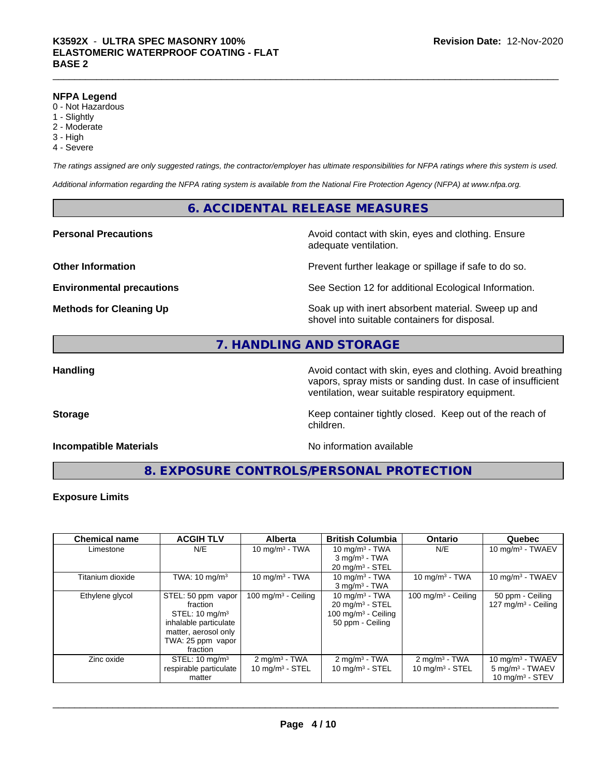#### **NFPA Legend**

- 0 Not Hazardous
- 1 Slightly
- 2 Moderate
- 3 High
- 4 Severe

*The ratings assigned are only suggested ratings, the contractor/employer has ultimate responsibilities for NFPA ratings where this system is used.*

*Additional information regarding the NFPA rating system is available from the National Fire Protection Agency (NFPA) at www.nfpa.org.*

# **6. ACCIDENTAL RELEASE MEASURES**

# **Personal Precautions Precautions** Avoid contact with skin, eyes and clothing. Ensure

**Other Information Discription Prevent further leakage or spillage if safe to do so.** 

**Environmental precautions** See Section 12 for additional Ecological Information.

**Methods for Cleaning Up Example 20 Soak** up with inert absorbent material. Sweep up and shovel into suitable containers for disposal.

# **7. HANDLING AND STORAGE**

**Handling Handling Avoid contact with skin, eyes and clothing. Avoid breathing Handling Avoid breathing Avoid breathing** vapors, spray mists or sanding dust. In case of insufficient ventilation, wear suitable respiratory equipment.

**Storage Keep container tightly closed. Keep out of the reach of Keep** container tightly closed. Keep out of the reach of

# **Incompatible Materials No information available**

adequate ventilation.

**8. EXPOSURE CONTROLS/PERSONAL PROTECTION**

children.

# **Exposure Limits**

| <b>Chemical name</b> | <b>ACGIH TLV</b>                                                                                                                              | <b>Alberta</b>                                         | <b>British Columbia</b>                                                                                | <b>Ontario</b>                                 | Quebec                                                                  |
|----------------------|-----------------------------------------------------------------------------------------------------------------------------------------------|--------------------------------------------------------|--------------------------------------------------------------------------------------------------------|------------------------------------------------|-------------------------------------------------------------------------|
| Limestone            | N/E                                                                                                                                           | 10 mg/m $3 - TWA$                                      | 10 mg/m $3$ - TWA<br>$3$ mg/m <sup>3</sup> - TWA<br>$20 \text{ mg/m}^3$ - STEL                         | N/E                                            | 10 mg/m $3$ - TWAEV                                                     |
| Titanium dioxide     | TWA: $10 \text{ mg/m}^3$                                                                                                                      | 10 mg/m $3$ - TWA                                      | 10 mg/m $3$ - TWA<br>$3$ mg/m $3$ - TWA                                                                | 10 mg/m $3$ - TWA                              | 10 mg/m $3$ - TWAEV                                                     |
| Ethylene glycol      | STEL: 50 ppm vapor<br>fraction<br>STEL: $10 \text{ mg/m}^3$<br>inhalable particulate<br>matter, aerosol only<br>TWA: 25 ppm vapor<br>fraction | 100 mg/m $3$ - Ceiling                                 | 10 mg/m $3$ - TWA<br>$20 \text{ mg/m}^3$ - STEL<br>100 mg/m <sup>3</sup> - Ceiling<br>50 ppm - Ceiling | 100 mg/m $3$ - Ceiling                         | 50 ppm - Ceiling<br>127 mg/m $3$ - Ceiling                              |
| Zinc oxide           | STEL: $10 \text{ mg/m}^3$<br>respirable particulate<br>matter                                                                                 | $2 \text{ mg/m}^3$ - TWA<br>$10 \text{ mg/m}^3$ - STEL | $2$ mg/m <sup>3</sup> - TWA<br>$10 \text{ mg/m}^3$ - STEL                                              | $2 \text{ mg/m}^3$ - TWA<br>10 $mq/m^3$ - STEL | 10 mg/m $3$ - TWAEV<br>$5 \text{ mg/m}^3$ - TWAEV<br>10 $mq/m^3$ - STEV |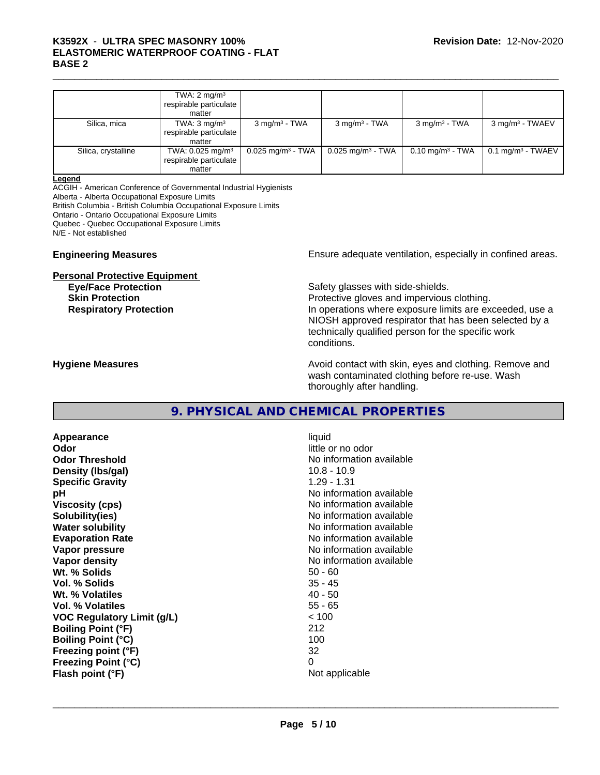# K3592X - ULTRA SPEC MASONRY 100%<br>ELASTOMERIC WATERPROOF COATING - FLAT<br>BASE 2 **ELASTOMERIC WATERPROOF COATING - FLAT BASE 2**

|                     | TWA: $2 \text{ mg/m}^3$<br>respirable particulate I<br>matter    |                                 |                                 |                             |                                 |
|---------------------|------------------------------------------------------------------|---------------------------------|---------------------------------|-----------------------------|---------------------------------|
| Silica, mica        | TWA: $3 \text{ mg/m}^3$<br>respirable particulate<br>matter      | $3 \text{ mg/m}^3$ - TWA        | $3 \text{ mg/m}^3$ - TWA        | $3 \text{ mg/m}^3$ - TWA    | $3$ mg/m <sup>3</sup> - TWAEV   |
| Silica, crystalline | TWA: 0.025 mg/m <sup>3</sup><br>respirable particulate<br>matter | $0.025$ mg/m <sup>3</sup> - TWA | $0.025$ mg/m <sup>3</sup> - TWA | $0.10 \text{ mg/m}^3$ - TWA | $0.1$ mg/m <sup>3</sup> - TWAEV |

#### **Legend**

ACGIH - American Conference of Governmental Industrial Hygienists

Alberta - Alberta Occupational Exposure Limits

British Columbia - British Columbia Occupational Exposure Limits

Ontario - Ontario Occupational Exposure Limits

Quebec - Quebec Occupational Exposure Limits

N/E - Not established

#### **Personal Protective Equipment**

**Engineering Measures Ensure** Ensure adequate ventilation, especially in confined areas.

**Eye/Face Protection Safety glasses with side-shields. Skin Protection Protection Protective gloves and impervious clothing. Respiratory Protection In operations where exposure limits are exceeded, use a** local protection NIOSH approved respirator that has been selected by a technically qualified person for the specific work conditions.

**Hygiene Measures Avoid contact with skin, eyes and clothing. Remove and Avoid contact with skin, eyes and clothing. Remove and Avoid contact with skin, eyes and clothing. Remove and** wash contaminated clothing before re-use. Wash thoroughly after handling.

# **9. PHYSICAL AND CHEMICAL PROPERTIES**

**Appearance** liquid **Odor** little or no odor **Odor Threshold No information available No information available Density (lbs/gal)** 10.8 - 10.9 **Specific Gravity** 1.29 - 1.31 **pH pH**  $\blacksquare$ **Viscosity (cps)** No information available **Solubility(ies)** No information available **Water solubility** No information available **Evaporation Rate Evaporation Rate No information available Vapor pressure** No information available **Vapor density No information available No** information available **Wt. % Solids** 50 - 60 **Vol. % Solids Wt.** % Volatiles 40 - 50 **Vol. % Volatiles** 55 - 65 **VOC Regulatory Limit (g/L)** < 100 **Boiling Point (°F)** 212 **Boiling Point (°C)** 100 **Freezing point (°F)** 32 **Freezing Point (°C)** 0 **Flash point (°F)** Not applicable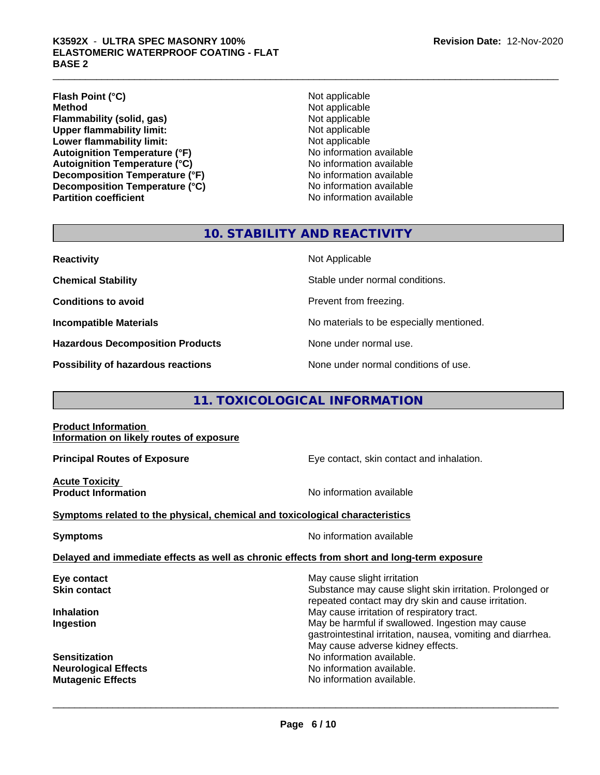# K3592X - ULTRA SPEC MASONRY 100%<br>ELASTOMERIC WATERPROOF COATING - FLAT<br>BASE 2 **ELASTOMERIC WATERPROOF COATING - FLAT BASE 2**

**Flash Point (°C)** Not applicable **Method** Not applicable **Flammability (solid, gas)** Not applicable **Upper flammability limit:** Not applicable **Lower flammability limit:** Not applicable **Autoignition Temperature (°F)**<br> **Autoignition Temperature (°C)** No information available **Autoignition Temperature (°C) Decomposition Temperature (°F)** No information available **Decomposition Temperature (°C)**<br> **Partition coefficient**<br> **Partition coefficient**<br> **No** information available

**No information available** 

# **10. STABILITY AND REACTIVITY**

**Hazardous Decomposition Products** None under normal use.

**Reactivity** Not Applicable

**Chemical Stability Stable under normal conditions.** 

**Conditions to avoid Prevent from freezing.** 

**Incompatible Materials No materials** No materials to be especially mentioned.

**Possibility of hazardous reactions** None under normal conditions of use.

# **11. TOXICOLOGICAL INFORMATION**

**Product Information Information on likely routes of exposure**

**Principal Routes of Exposure Exposure** Eye contact, skin contact and inhalation.

**Acute Toxicity** 

**Product Information Information No information available** 

**Symptoms related to the physical,chemical and toxicological characteristics**

**Symptoms** No information available

 $\overline{\phantom{a}}$  ,  $\overline{\phantom{a}}$  ,  $\overline{\phantom{a}}$  ,  $\overline{\phantom{a}}$  ,  $\overline{\phantom{a}}$  ,  $\overline{\phantom{a}}$  ,  $\overline{\phantom{a}}$  ,  $\overline{\phantom{a}}$  ,  $\overline{\phantom{a}}$  ,  $\overline{\phantom{a}}$  ,  $\overline{\phantom{a}}$  ,  $\overline{\phantom{a}}$  ,  $\overline{\phantom{a}}$  ,  $\overline{\phantom{a}}$  ,  $\overline{\phantom{a}}$  ,  $\overline{\phantom{a}}$ 

#### **Delayed and immediate effects as well as chronic effects from short and long-term exposure**

| May cause slight irritation                                                                                     |
|-----------------------------------------------------------------------------------------------------------------|
| Substance may cause slight skin irritation. Prolonged or                                                        |
| repeated contact may dry skin and cause irritation.                                                             |
| May cause irritation of respiratory tract.                                                                      |
| May be harmful if swallowed. Ingestion may cause<br>gastrointestinal irritation, nausea, vomiting and diarrhea. |
| May cause adverse kidney effects.                                                                               |
| No information available.                                                                                       |
| No information available.                                                                                       |
| No information available.                                                                                       |
|                                                                                                                 |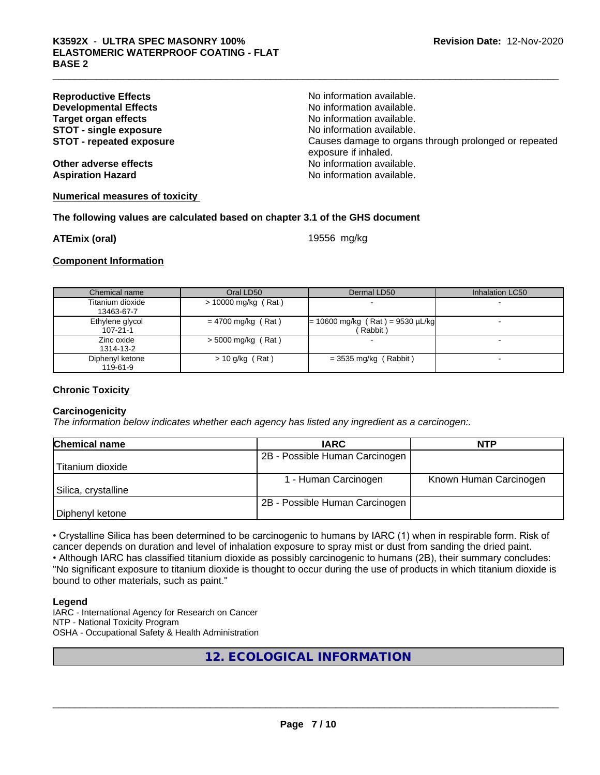| <b>Reproductive Effects</b>     | No information available.                                                     |
|---------------------------------|-------------------------------------------------------------------------------|
| <b>Developmental Effects</b>    | No information available.                                                     |
| Target organ effects            | No information available.                                                     |
| <b>STOT - single exposure</b>   | No information available.                                                     |
| <b>STOT - repeated exposure</b> | Causes damage to organs through prolonged or repeated<br>exposure if inhaled. |
| Other adverse effects           | No information available.                                                     |
| <b>Aspiration Hazard</b>        | No information available.                                                     |
|                                 |                                                                               |

#### **Numerical measures of toxicity**

#### **The following values are calculated based on chapter 3.1 of the GHS document**

**ATEmix (oral)** 19556 mg/kg

**Component Information**

| Chemical name                     | Oral LD50             | Dermal LD50                                   | Inhalation LC50 |
|-----------------------------------|-----------------------|-----------------------------------------------|-----------------|
| Titanium dioxide<br>13463-67-7    | $> 10000$ mg/kg (Rat) |                                               |                 |
| Ethylene glycol<br>$107 - 21 - 1$ | $= 4700$ mg/kg (Rat)  | $= 10600$ mg/kg (Rat) = 9530 µL/kg<br>Rabbit) |                 |
| Zinc oxide<br>1314-13-2           | $>$ 5000 mg/kg (Rat)  |                                               |                 |
| Diphenyl ketone<br>119-61-9       | $> 10$ g/kg (Rat)     | $=$ 3535 mg/kg (Rabbit)                       |                 |

### **Chronic Toxicity**

#### **Carcinogenicity**

*The information below indicateswhether each agency has listed any ingredient as a carcinogen:.*

| <b>Chemical name</b> | <b>IARC</b>                    | <b>NTP</b>             |
|----------------------|--------------------------------|------------------------|
|                      | 2B - Possible Human Carcinogen |                        |
| Titanium dioxide     |                                |                        |
|                      | 1 - Human Carcinogen           | Known Human Carcinogen |
| Silica, crystalline  |                                |                        |
|                      | 2B - Possible Human Carcinogen |                        |
| Diphenyl ketone      |                                |                        |

• Crystalline Silica has been determined to be carcinogenic to humans by IARC (1) when in respirable form. Risk of cancer depends on duration and level of inhalation exposure to spray mist or dust from sanding the dried paint.• Although IARC has classified titanium dioxide as possibly carcinogenic to humans (2B), their summary concludes: "No significant exposure to titanium dioxide is thought to occur during the use of products in which titanium dioxide is bound to other materials, such as paint."

#### **Legend**

IARC - International Agency for Research on Cancer NTP - National Toxicity Program OSHA - Occupational Safety & Health Administration

# **12. ECOLOGICAL INFORMATION**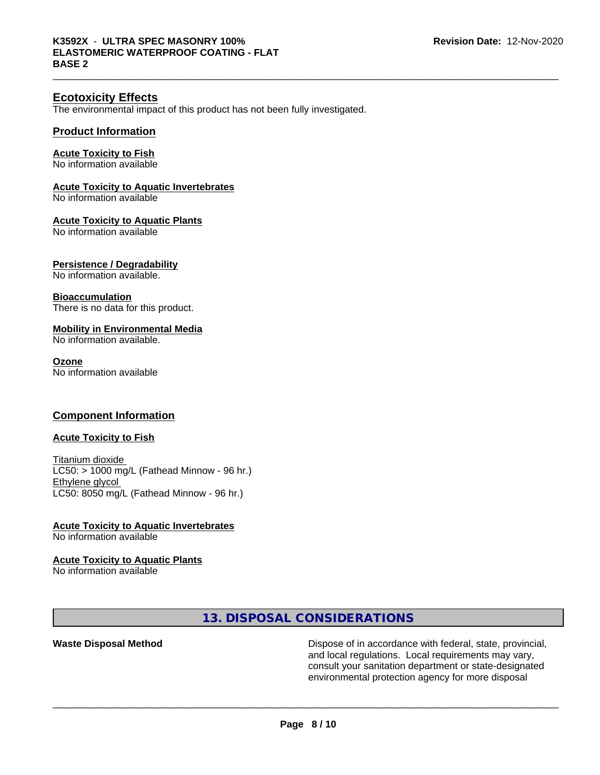# **Ecotoxicity Effects**

The environmental impact of this product has not been fully investigated.

#### **Product Information**

#### **Acute Toxicity to Fish**

No information available

# **Acute Toxicity to Aquatic Invertebrates**

No information available

#### **Acute Toxicity to Aquatic Plants**

No information available

#### **Persistence / Degradability**

No information available.

#### **Bioaccumulation**

There is no data for this product.

#### **Mobility in Environmental Media**

No information available.

#### **Ozone**

No information available

#### **Component Information**

#### **Acute Toxicity to Fish**

Titanium dioxide  $LC50:$  > 1000 mg/L (Fathead Minnow - 96 hr.) Ethylene glycol LC50: 8050 mg/L (Fathead Minnow - 96 hr.)

# **Acute Toxicity to Aquatic Invertebrates**

No information available

# **Acute Toxicity to Aquatic Plants**

No information available

# **13. DISPOSAL CONSIDERATIONS**

**Waste Disposal Method Dispose of in accordance with federal, state, provincial,** and local regulations. Local requirements may vary, consult your sanitation department or state-designated environmental protection agency for more disposal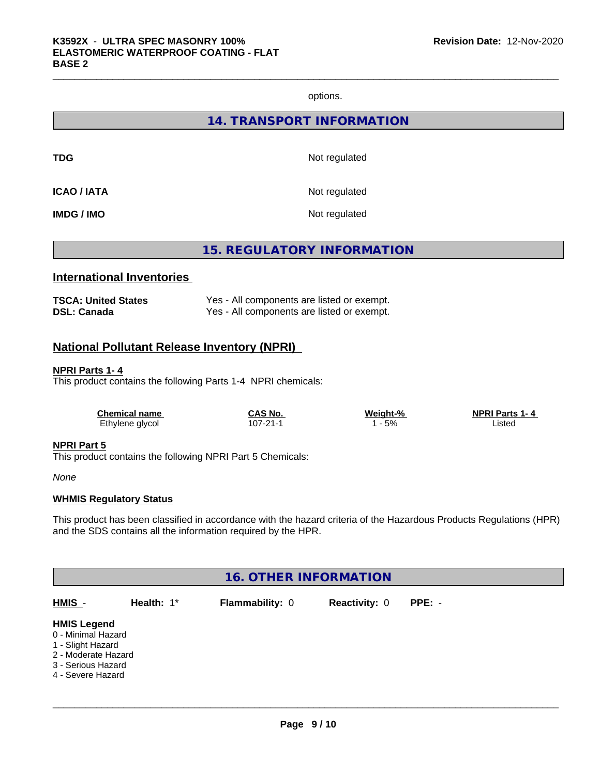options.

**14. TRANSPORT INFORMATION**

**TDG** Not regulated

**ICAO / IATA** Not regulated

**IMDG / IMO** Not regulated

**15. REGULATORY INFORMATION**

# **International Inventories**

| <b>TSCA: United States</b> | Yes - All components are listed or exempt. |
|----------------------------|--------------------------------------------|
| <b>DSL: Canada</b>         | Yes - All components are listed or exempt. |

# **National Pollutant Release Inventory (NPRI)**

#### **NPRI Parts 1- 4**

This product contains the following Parts 1-4 NPRI chemicals:

| <b>Chemical name</b> | CAS No.  | Weight-% | <b>NPRI Parts 1-4</b> |  |
|----------------------|----------|----------|-----------------------|--|
| Ethylene glycol      | 107-21-1 | 5%       | _isted                |  |

#### **NPRI Part 5**

This product contains the following NPRI Part 5 Chemicals:

*None*

#### **WHMIS Regulatory Status**

This product has been classified in accordance with the hazard criteria of the Hazardous Products Regulations (HPR) and the SDS contains all the information required by the HPR.

| <b>16. OTHER INFORMATION</b>                                                                                                    |            |                 |                      |          |  |  |  |
|---------------------------------------------------------------------------------------------------------------------------------|------------|-----------------|----------------------|----------|--|--|--|
| HMIS -                                                                                                                          | Health: 1* | Flammability: 0 | <b>Reactivity: 0</b> | $PPE: -$ |  |  |  |
| <b>HMIS Legend</b><br>0 - Minimal Hazard<br>1 - Slight Hazard<br>2 - Moderate Hazard<br>3 - Serious Hazard<br>4 - Severe Hazard |            |                 |                      |          |  |  |  |